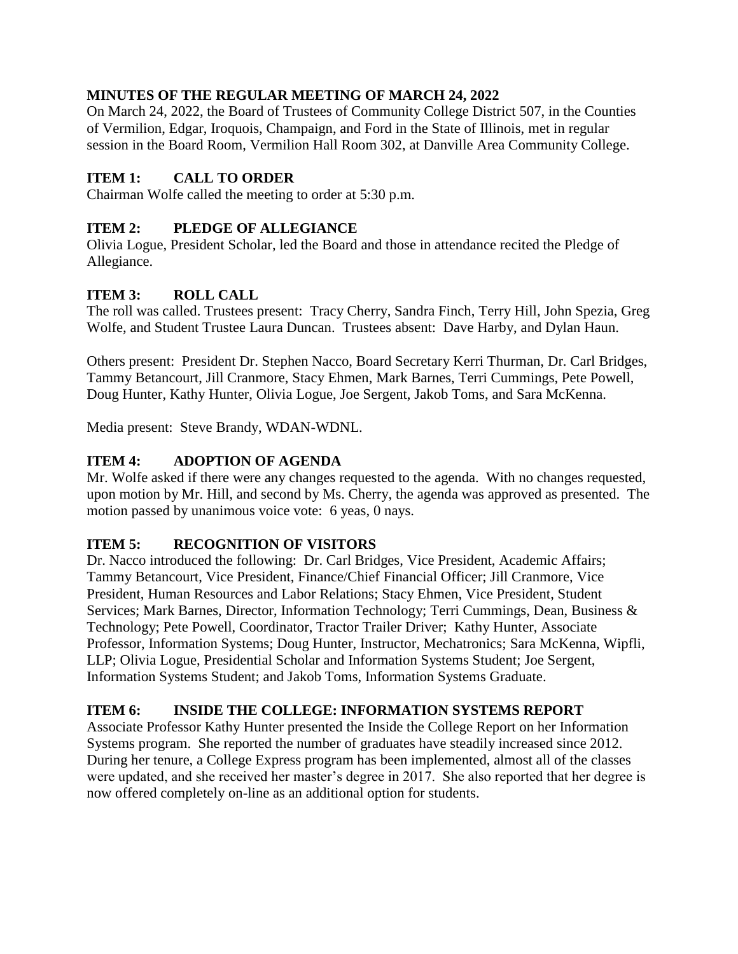#### **MINUTES OF THE REGULAR MEETING OF MARCH 24, 2022**

On March 24, 2022, the Board of Trustees of Community College District 507, in the Counties of Vermilion, Edgar, Iroquois, Champaign, and Ford in the State of Illinois, met in regular session in the Board Room, Vermilion Hall Room 302, at Danville Area Community College.

### **ITEM 1: CALL TO ORDER**

Chairman Wolfe called the meeting to order at 5:30 p.m.

#### **ITEM 2: PLEDGE OF ALLEGIANCE**

Olivia Logue, President Scholar, led the Board and those in attendance recited the Pledge of Allegiance.

### **ITEM 3: ROLL CALL**

The roll was called. Trustees present: Tracy Cherry, Sandra Finch, Terry Hill, John Spezia, Greg Wolfe, and Student Trustee Laura Duncan. Trustees absent: Dave Harby, and Dylan Haun.

Others present: President Dr. Stephen Nacco, Board Secretary Kerri Thurman, Dr. Carl Bridges, Tammy Betancourt, Jill Cranmore, Stacy Ehmen, Mark Barnes, Terri Cummings, Pete Powell, Doug Hunter, Kathy Hunter, Olivia Logue, Joe Sergent, Jakob Toms, and Sara McKenna.

Media present: Steve Brandy, WDAN-WDNL.

### **ITEM 4: ADOPTION OF AGENDA**

Mr. Wolfe asked if there were any changes requested to the agenda. With no changes requested, upon motion by Mr. Hill, and second by Ms. Cherry, the agenda was approved as presented. The motion passed by unanimous voice vote: 6 yeas, 0 nays.

#### **ITEM 5: RECOGNITION OF VISITORS**

Dr. Nacco introduced the following: Dr. Carl Bridges, Vice President, Academic Affairs; Tammy Betancourt, Vice President, Finance/Chief Financial Officer; Jill Cranmore, Vice President, Human Resources and Labor Relations; Stacy Ehmen, Vice President, Student Services; Mark Barnes, Director, Information Technology; Terri Cummings, Dean, Business & Technology; Pete Powell, Coordinator, Tractor Trailer Driver; Kathy Hunter, Associate Professor, Information Systems; Doug Hunter, Instructor, Mechatronics; Sara McKenna, Wipfli, LLP; Olivia Logue, Presidential Scholar and Information Systems Student; Joe Sergent, Information Systems Student; and Jakob Toms, Information Systems Graduate.

#### **ITEM 6: INSIDE THE COLLEGE: INFORMATION SYSTEMS REPORT**

Associate Professor Kathy Hunter presented the Inside the College Report on her Information Systems program. She reported the number of graduates have steadily increased since 2012. During her tenure, a College Express program has been implemented, almost all of the classes were updated, and she received her master's degree in 2017. She also reported that her degree is now offered completely on-line as an additional option for students.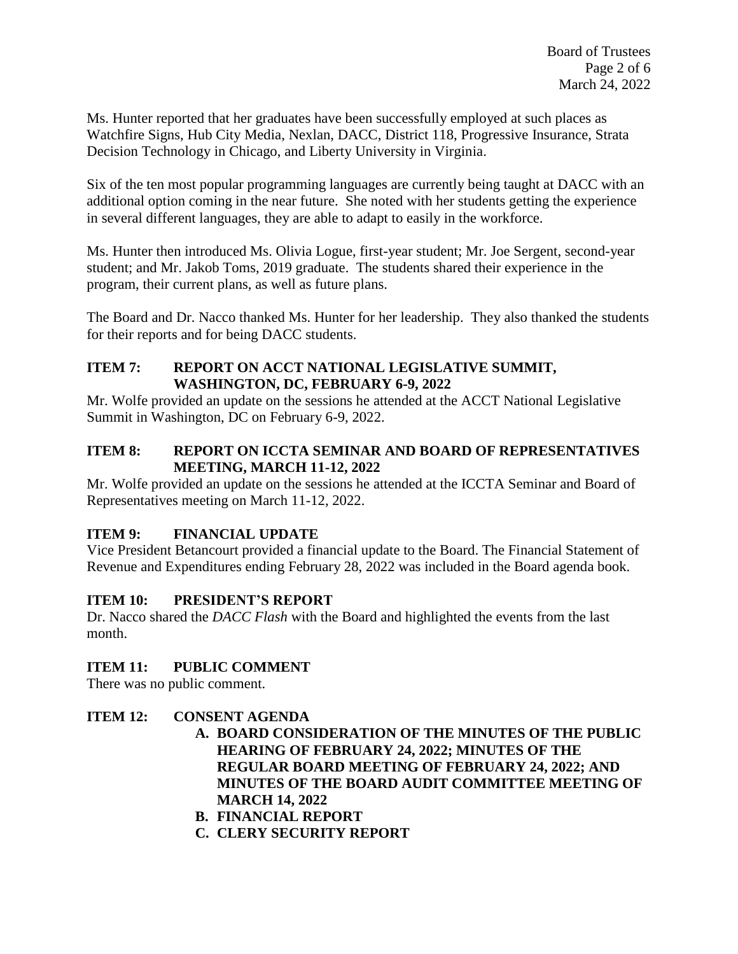Ms. Hunter reported that her graduates have been successfully employed at such places as Watchfire Signs, Hub City Media, Nexlan, DACC, District 118, Progressive Insurance, Strata Decision Technology in Chicago, and Liberty University in Virginia.

Six of the ten most popular programming languages are currently being taught at DACC with an additional option coming in the near future. She noted with her students getting the experience in several different languages, they are able to adapt to easily in the workforce.

Ms. Hunter then introduced Ms. Olivia Logue, first-year student; Mr. Joe Sergent, second-year student; and Mr. Jakob Toms, 2019 graduate. The students shared their experience in the program, their current plans, as well as future plans.

The Board and Dr. Nacco thanked Ms. Hunter for her leadership. They also thanked the students for their reports and for being DACC students.

#### **ITEM 7: REPORT ON ACCT NATIONAL LEGISLATIVE SUMMIT, WASHINGTON, DC, FEBRUARY 6-9, 2022**

Mr. Wolfe provided an update on the sessions he attended at the ACCT National Legislative Summit in Washington, DC on February 6-9, 2022.

### **ITEM 8: REPORT ON ICCTA SEMINAR AND BOARD OF REPRESENTATIVES MEETING, MARCH 11-12, 2022**

Mr. Wolfe provided an update on the sessions he attended at the ICCTA Seminar and Board of Representatives meeting on March 11-12, 2022.

## **ITEM 9: FINANCIAL UPDATE**

Vice President Betancourt provided a financial update to the Board. The Financial Statement of Revenue and Expenditures ending February 28, 2022 was included in the Board agenda book.

## **ITEM 10: PRESIDENT'S REPORT**

Dr. Nacco shared the *DACC Flash* with the Board and highlighted the events from the last month.

## **ITEM 11: PUBLIC COMMENT**

There was no public comment.

## **ITEM 12: CONSENT AGENDA**

- **A. BOARD CONSIDERATION OF THE MINUTES OF THE PUBLIC HEARING OF FEBRUARY 24, 2022; MINUTES OF THE REGULAR BOARD MEETING OF FEBRUARY 24, 2022; AND MINUTES OF THE BOARD AUDIT COMMITTEE MEETING OF MARCH 14, 2022**
- **B. FINANCIAL REPORT**
- **C. CLERY SECURITY REPORT**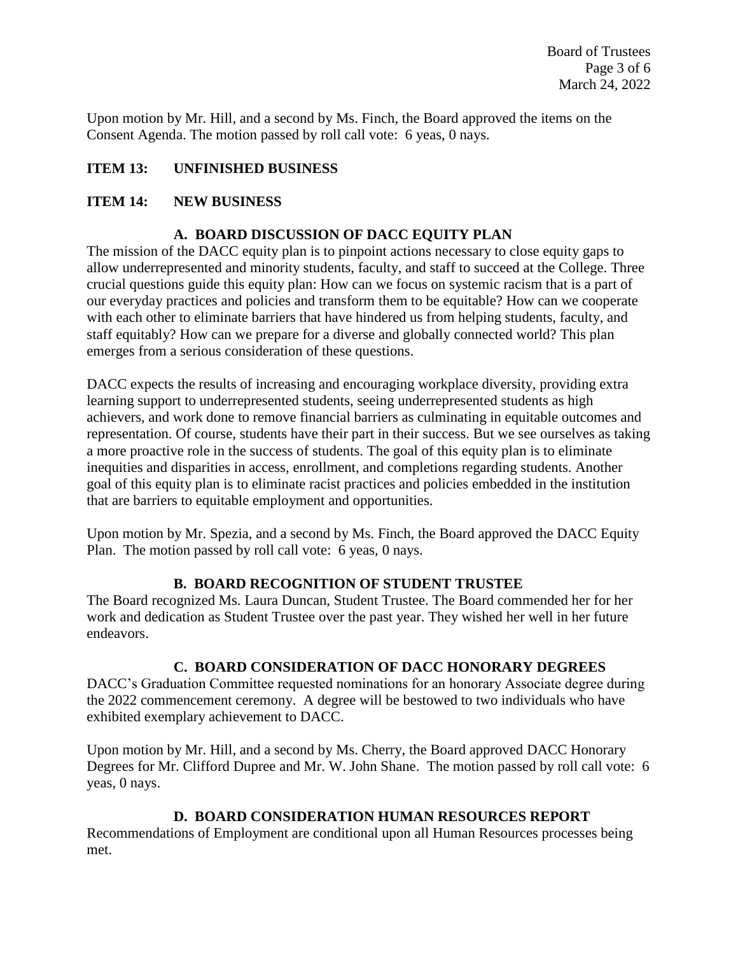Upon motion by Mr. Hill, and a second by Ms. Finch, the Board approved the items on the Consent Agenda. The motion passed by roll call vote: 6 yeas, 0 nays.

### **ITEM 13: UNFINISHED BUSINESS**

#### **ITEM 14: NEW BUSINESS**

#### **A. BOARD DISCUSSION OF DACC EQUITY PLAN**

The mission of the DACC equity plan is to pinpoint actions necessary to close equity gaps to allow underrepresented and minority students, faculty, and staff to succeed at the College. Three crucial questions guide this equity plan: How can we focus on systemic racism that is a part of our everyday practices and policies and transform them to be equitable? How can we cooperate with each other to eliminate barriers that have hindered us from helping students, faculty, and staff equitably? How can we prepare for a diverse and globally connected world? This plan emerges from a serious consideration of these questions.

DACC expects the results of increasing and encouraging workplace diversity, providing extra learning support to underrepresented students, seeing underrepresented students as high achievers, and work done to remove financial barriers as culminating in equitable outcomes and representation. Of course, students have their part in their success. But we see ourselves as taking a more proactive role in the success of students. The goal of this equity plan is to eliminate inequities and disparities in access, enrollment, and completions regarding students. Another goal of this equity plan is to eliminate racist practices and policies embedded in the institution that are barriers to equitable employment and opportunities.

Upon motion by Mr. Spezia, and a second by Ms. Finch, the Board approved the DACC Equity Plan. The motion passed by roll call vote: 6 yeas, 0 nays.

#### **B. BOARD RECOGNITION OF STUDENT TRUSTEE**

The Board recognized Ms. Laura Duncan, Student Trustee. The Board commended her for her work and dedication as Student Trustee over the past year. They wished her well in her future endeavors.

#### **C. BOARD CONSIDERATION OF DACC HONORARY DEGREES**

DACC's Graduation Committee requested nominations for an honorary Associate degree during the 2022 commencement ceremony. A degree will be bestowed to two individuals who have exhibited exemplary achievement to DACC.

Upon motion by Mr. Hill, and a second by Ms. Cherry, the Board approved DACC Honorary Degrees for Mr. Clifford Dupree and Mr. W. John Shane. The motion passed by roll call vote: 6 yeas, 0 nays.

#### **D. BOARD CONSIDERATION HUMAN RESOURCES REPORT**

Recommendations of Employment are conditional upon all Human Resources processes being met.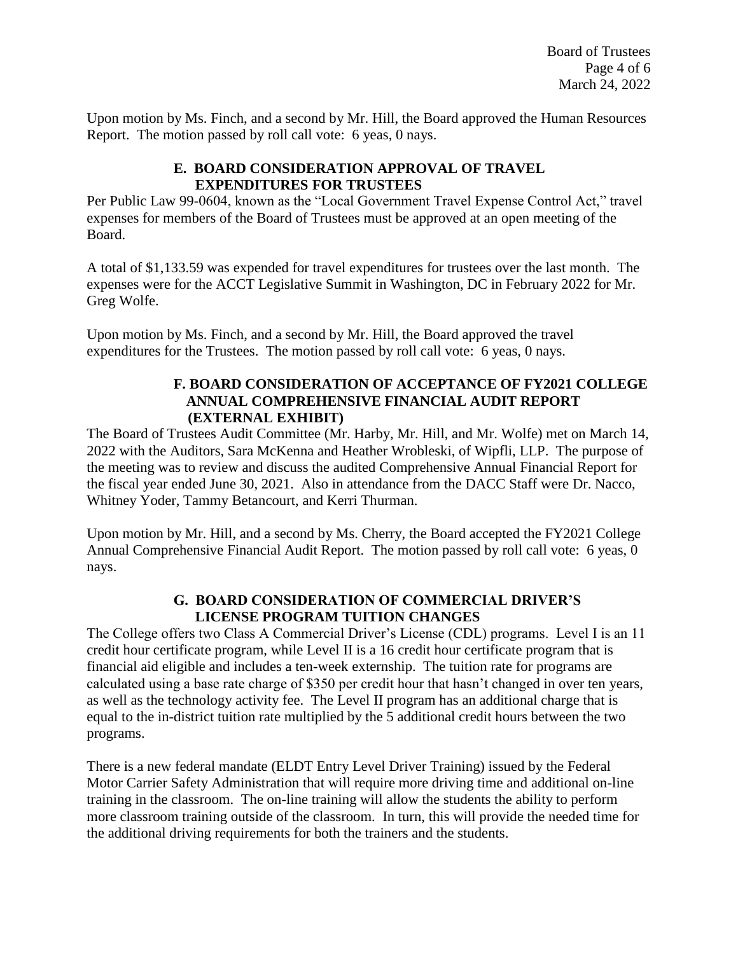Upon motion by Ms. Finch, and a second by Mr. Hill, the Board approved the Human Resources Report. The motion passed by roll call vote: 6 yeas, 0 nays.

#### **E. BOARD CONSIDERATION APPROVAL OF TRAVEL EXPENDITURES FOR TRUSTEES**

Per Public Law 99-0604, known as the "Local Government Travel Expense Control Act," travel expenses for members of the Board of Trustees must be approved at an open meeting of the Board.

A total of \$1,133.59 was expended for travel expenditures for trustees over the last month. The expenses were for the ACCT Legislative Summit in Washington, DC in February 2022 for Mr. Greg Wolfe.

Upon motion by Ms. Finch, and a second by Mr. Hill, the Board approved the travel expenditures for the Trustees. The motion passed by roll call vote: 6 yeas, 0 nays.

#### **F. BOARD CONSIDERATION OF ACCEPTANCE OF FY2021 COLLEGE ANNUAL COMPREHENSIVE FINANCIAL AUDIT REPORT (EXTERNAL EXHIBIT)**

The Board of Trustees Audit Committee (Mr. Harby, Mr. Hill, and Mr. Wolfe) met on March 14, 2022 with the Auditors, Sara McKenna and Heather Wrobleski, of Wipfli, LLP. The purpose of the meeting was to review and discuss the audited Comprehensive Annual Financial Report for the fiscal year ended June 30, 2021. Also in attendance from the DACC Staff were Dr. Nacco, Whitney Yoder, Tammy Betancourt, and Kerri Thurman.

Upon motion by Mr. Hill, and a second by Ms. Cherry, the Board accepted the FY2021 College Annual Comprehensive Financial Audit Report. The motion passed by roll call vote: 6 yeas, 0 nays.

#### **G. BOARD CONSIDERATION OF COMMERCIAL DRIVER'S LICENSE PROGRAM TUITION CHANGES**

The College offers two Class A Commercial Driver's License (CDL) programs. Level I is an 11 credit hour certificate program, while Level II is a 16 credit hour certificate program that is financial aid eligible and includes a ten-week externship. The tuition rate for programs are calculated using a base rate charge of \$350 per credit hour that hasn't changed in over ten years, as well as the technology activity fee. The Level II program has an additional charge that is equal to the in-district tuition rate multiplied by the 5 additional credit hours between the two programs.

There is a new federal mandate (ELDT Entry Level Driver Training) issued by the Federal Motor Carrier Safety Administration that will require more driving time and additional on-line training in the classroom. The on-line training will allow the students the ability to perform more classroom training outside of the classroom. In turn, this will provide the needed time for the additional driving requirements for both the trainers and the students.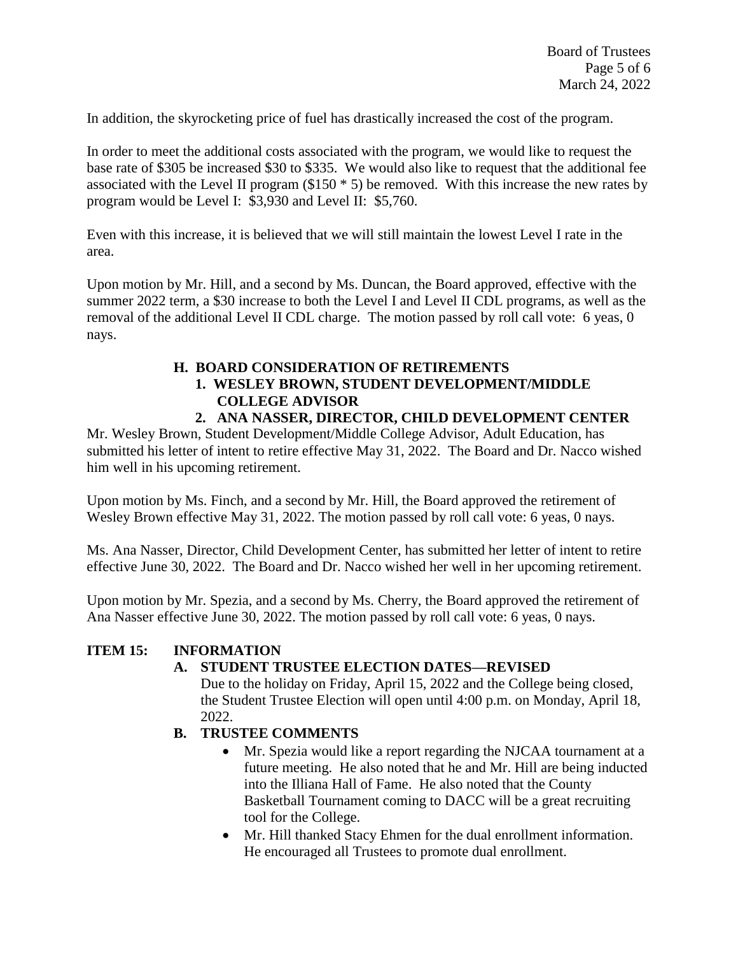In addition, the skyrocketing price of fuel has drastically increased the cost of the program.

In order to meet the additional costs associated with the program, we would like to request the base rate of \$305 be increased \$30 to \$335. We would also like to request that the additional fee associated with the Level II program  $(\$150 * 5)$  be removed. With this increase the new rates by program would be Level I: \$3,930 and Level II: \$5,760.

Even with this increase, it is believed that we will still maintain the lowest Level I rate in the area.

Upon motion by Mr. Hill, and a second by Ms. Duncan, the Board approved, effective with the summer 2022 term, a \$30 increase to both the Level I and Level II CDL programs, as well as the removal of the additional Level II CDL charge. The motion passed by roll call vote: 6 yeas, 0 nays.

## **H. BOARD CONSIDERATION OF RETIREMENTS**

# **1. WESLEY BROWN, STUDENT DEVELOPMENT/MIDDLE COLLEGE ADVISOR**

### **2. ANA NASSER, DIRECTOR, CHILD DEVELOPMENT CENTER**

Mr. Wesley Brown, Student Development/Middle College Advisor, Adult Education, has submitted his letter of intent to retire effective May 31, 2022. The Board and Dr. Nacco wished him well in his upcoming retirement.

Upon motion by Ms. Finch, and a second by Mr. Hill, the Board approved the retirement of Wesley Brown effective May 31, 2022. The motion passed by roll call vote: 6 yeas, 0 nays.

Ms. Ana Nasser, Director, Child Development Center, has submitted her letter of intent to retire effective June 30, 2022. The Board and Dr. Nacco wished her well in her upcoming retirement.

Upon motion by Mr. Spezia, and a second by Ms. Cherry, the Board approved the retirement of Ana Nasser effective June 30, 2022. The motion passed by roll call vote: 6 yeas, 0 nays.

#### **ITEM 15: INFORMATION**

## **A. STUDENT TRUSTEE ELECTION DATES—REVISED**

Due to the holiday on Friday, April 15, 2022 and the College being closed, the Student Trustee Election will open until 4:00 p.m. on Monday, April 18, 2022.

- **B. TRUSTEE COMMENTS**
	- Mr. Spezia would like a report regarding the NJCAA tournament at a future meeting. He also noted that he and Mr. Hill are being inducted into the Illiana Hall of Fame. He also noted that the County Basketball Tournament coming to DACC will be a great recruiting tool for the College.
	- Mr. Hill thanked Stacy Ehmen for the dual enrollment information. He encouraged all Trustees to promote dual enrollment.